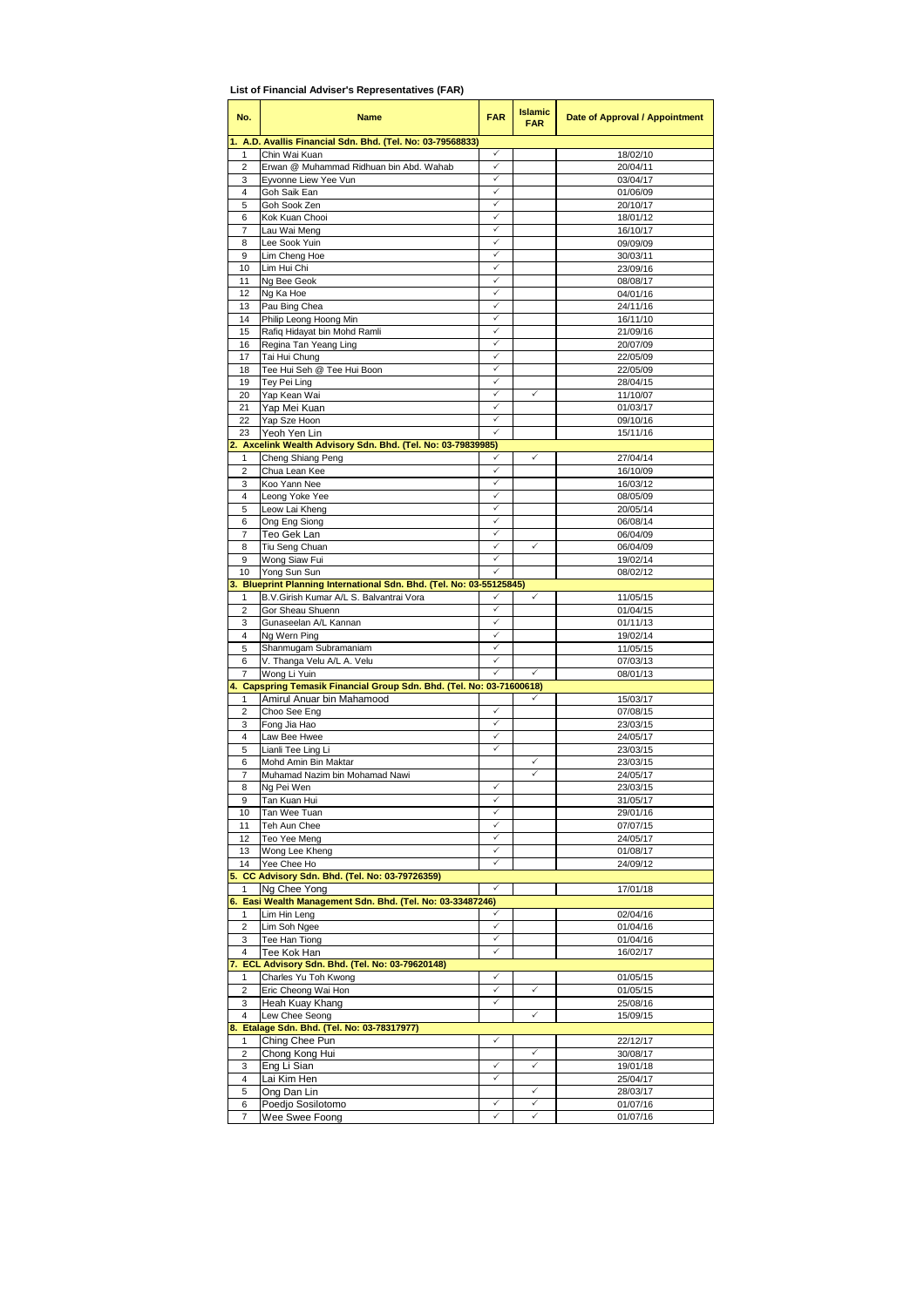| No.                 | <b>Name</b>                                                        | <b>FAR</b>   | <b>Islamic</b><br><b>FAR</b> | Date of Approval / Appointment |
|---------------------|--------------------------------------------------------------------|--------------|------------------------------|--------------------------------|
|                     | A.D. Avallis Financial Sdn. Bhd. (Tel. No: 03-79568833)            |              |                              |                                |
| 1<br>2              | Chin Wai Kuan<br>Erwan @ Muhammad Ridhuan bin Abd. Wahab           | ✓<br>✓       |                              | 18/02/10<br>20/04/11           |
| 3                   | Eyvonne Liew Yee Vun                                               | ✓            |                              | 03/04/17                       |
| $\overline{4}$      | Goh Saik Ean                                                       | ✓            |                              | 01/06/09                       |
| 5                   | Goh Sook Zen                                                       | ✓            |                              | 20/10/17                       |
| 6                   | Kok Kuan Chooi                                                     | ✓<br>✓       |                              | 18/01/12                       |
| $\overline{7}$<br>8 | Lau Wai Meng<br>Lee Sook Yuin                                      | ✓            |                              | 16/10/17<br>09/09/09           |
| 9                   | Lim Cheng Hoe                                                      | ✓            |                              | 30/03/11                       |
| 10                  | Lim Hui Chi                                                        | ✓            |                              | 23/09/16                       |
| 11                  | Ng Bee Geok                                                        | ✓            |                              | 08/08/17                       |
| 12                  | Ng Ka Hoe                                                          | ✓<br>✓       |                              | 04/01/16                       |
| 13<br>14            | Pau Bing Chea<br>Philip Leong Hoong Min                            | ✓            |                              | 24/11/16<br>16/11/10           |
| 15                  | Rafiq Hidayat bin Mohd Ramli                                       | ✓            |                              | 21/09/16                       |
| 16                  | Regina Tan Yeang Ling                                              | ✓            |                              | 20/07/09                       |
| 17                  | Tai Hui Chung                                                      | ✓            |                              | 22/05/09                       |
| 18                  | Tee Hui Seh @ Tee Hui Boon                                         | ✓<br>✓       |                              | 22/05/09                       |
| 19<br>20            | Tey Pei Ling<br>Yap Kean Wai                                       |              | ✓                            | 28/04/15<br>11/10/07           |
| 21                  | Yap Mei Kuan                                                       | $\checkmark$ |                              | 01/03/17                       |
| 22                  | Yap Sze Hoon                                                       | ✓            |                              | 09/10/16                       |
| 23                  | Yeoh Yen Lin                                                       |              |                              | 15/11/16                       |
| 2.                  | Axcelink Wealth Advisory Sdn. Bhd. (Tel. No: 03-79839985)          |              |                              |                                |
| 1<br>2              | Cheng Shiang Peng<br>Chua Lean Kee                                 | ✓            | ✓                            | 27/04/14<br>16/10/09           |
| 3                   | Koo Yann Nee                                                       | ✓            |                              | 16/03/12                       |
| 4                   | Leong Yoke Yee                                                     | ✓            |                              | 08/05/09                       |
| 5                   | Leow Lai Kheng                                                     | ✓            |                              | 20/05/14                       |
| 6                   | Ong Eng Siong                                                      | ✓            |                              | 06/08/14                       |
| 7                   | Teo Gek Lan                                                        | ✓<br>✓       | ✓                            | 06/04/09                       |
| 8<br>9              | Tiu Seng Chuan<br>Wong Siaw Fui                                    | ✓            |                              | 06/04/09<br>19/02/14           |
| 10                  | Yong Sun Sun                                                       |              |                              | 08/02/12                       |
|                     | Blueprint Planning International Sdn. Bhd. (Tel. No: 03-55125845)  |              |                              |                                |
| 1                   | B.V.Girish Kumar A/L S. Balvantrai Vora                            | ✓            | $\checkmark$                 | 11/05/15                       |
| 2<br>3              | Gor Sheau Shuenn<br>Gunaseelan A/L Kannan                          | ✓<br>✓       |                              | 01/04/15<br>01/11/13           |
| 4                   | Ng Wern Ping                                                       | ✓            |                              | 19/02/14                       |
| 5                   | Shanmugam Subramaniam                                              | ✓            |                              | 11/05/15                       |
| 6                   | V. Thanga Velu A/L A. Velu                                         | ✓            |                              | 07/03/13                       |
| 7                   | Wong Li Yuin                                                       |              |                              | 08/01/13                       |
| 4.                  | Capspring Temasik Financial Group Sdn. Bhd. (Tel. No: 03-71600618) |              |                              |                                |
| 1<br>2              | Amirul Anuar bin Mahamood<br>Choo See Eng                          | ✓            |                              | 15/03/17<br>07/08/15           |
| 3                   | Fong Jia Hao                                                       | ✓            |                              | 23/03/15                       |
| $\overline{4}$      | Law Bee Hwee                                                       | $\checkmark$ |                              | 24/05/17                       |
| 5                   | Lianli Tee Ling Li                                                 | ✓            |                              | 23/03/15                       |
| 6                   | Mohd Amin Bin Maktar                                               |              | ✓                            | 23/03/15                       |
| 7<br>8              | Muhamad Nazim bin Mohamad Nawi<br>Ng Pei Wen                       | ✓            | ✓                            | 24/05/17<br>23/03/15           |
| 9                   | Tan Kuan Hui                                                       | ✓            |                              | 31/05/17                       |
| 10                  | Tan Wee Tuan                                                       | ✓            |                              | 29/01/16                       |
| 11                  | Teh Aun Chee                                                       | ✓            |                              | 07/07/15                       |
| 12                  | Teo Yee Meng                                                       | ✓            |                              | 24/05/17                       |
| 13<br>14            | Wong Lee Kheng<br>Yee Chee Ho                                      | ✓<br>✓       |                              | 01/08/17<br>24/09/12           |
|                     | 5. CC Advisory Sdn. Bhd. (Tel. No: 03-79726359)                    |              |                              |                                |
| 1                   | Na Chee Yona                                                       | ✓            |                              | 17/01/18                       |
|                     | 6. Easi Wealth Management Sdn. Bhd. (Tel. No: 03-33487246)         |              |                              |                                |
| 1                   | Lim Hin Leng                                                       |              |                              | 02/04/16                       |
| 2                   | Lim Soh Ngee                                                       | ✓<br>✓       |                              | 01/04/16                       |
| 3<br>4              | Tee Han Tiong<br>Tee Kok Han                                       | ✓            |                              | 01/04/16<br>16/02/17           |
| 7.                  | ECL Advisory Sdn. Bhd. (Tel. No: 03-79620148)                      |              |                              |                                |
| 1                   | Charles Yu Toh Kwong                                               | ✓            |                              | 01/05/15                       |
| 2                   | Eric Cheong Wai Hon                                                | ✓            | ✓                            | 01/05/15                       |
| 3                   | Heah Kuay Khang                                                    | ✓            |                              | 25/08/16                       |
| 4<br>8.             | Lew Chee Seong<br>Etalage Sdn. Bhd. (Tel. No: 03-78317977)         |              | ✓                            | 15/09/15                       |
| 1                   | Ching Chee Pun                                                     | ✓            |                              | 22/12/17                       |
| $\overline{2}$      | Chong Kong Hui                                                     |              | ✓                            | 30/08/17                       |
| 3                   | Eng Li Sian                                                        | ✓            | ✓                            | 19/01/18                       |
| 4                   | Lai Kim Hen                                                        | ✓            | ✓                            | 25/04/17                       |
| 5<br>6              | Ong Dan Lin<br>Poedjo Sosilotomo                                   | ✓            | ✓                            | 28/03/17<br>01/07/16           |
| 7                   | Wee Swee Foong                                                     | ✓            | ✓                            | 01/07/16                       |

**List of Financial Adviser's Representatives (FAR)**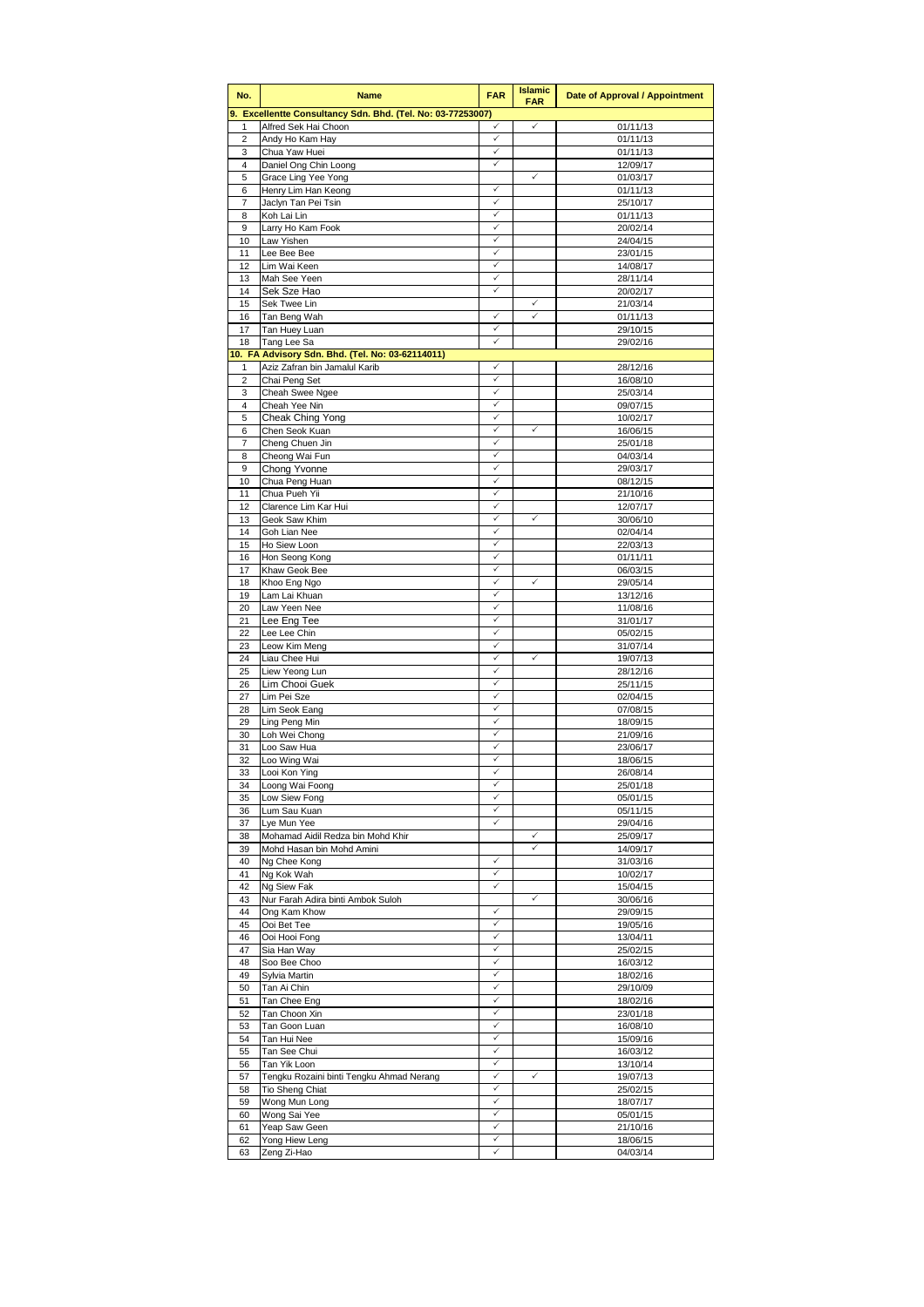| No.                 | <b>Name</b>                                                 | <b>FAR</b>                   | <b>Islamic</b><br><b>FAR</b> | Date of Approval / Appointment |
|---------------------|-------------------------------------------------------------|------------------------------|------------------------------|--------------------------------|
|                     | 9. Excellentte Consultancy Sdn. Bhd. (Tel. No: 03-77253007) |                              |                              |                                |
| 1                   | Alfred Sek Hai Choon                                        | ✓<br>✓                       | $\checkmark$                 | 01/11/13                       |
| $\overline{2}$<br>3 | Andy Ho Kam Hay<br>Chua Yaw Huei                            | $\checkmark$                 |                              | 01/11/13<br>01/11/13           |
| $\overline{4}$      | Daniel Ong Chin Loong                                       | $\checkmark$                 |                              | 12/09/17                       |
| 5                   | Grace Ling Yee Yong                                         |                              | ✓                            | 01/03/17                       |
| 6                   | Henry Lim Han Keong                                         | $\checkmark$<br>$\checkmark$ |                              | 01/11/13                       |
| 7<br>8              | Jaclyn Tan Pei Tsin<br>Koh Lai Lin                          | ✓                            |                              | 25/10/17<br>01/11/13           |
| 9                   | Larry Ho Kam Fook                                           | ✓                            |                              | 20/02/14                       |
| 10                  | Law Yishen                                                  | $\checkmark$                 |                              | 24/04/15                       |
| 11                  | Lee Bee Bee                                                 | ✓                            |                              | 23/01/15                       |
| 12<br>13            | Lim Wai Keen<br>Mah See Yeen                                | ✓<br>✓                       |                              | 14/08/17<br>28/11/14           |
| 14                  | Sek Sze Hao                                                 | $\checkmark$                 |                              | 20/02/17                       |
| 15                  | Sek Twee Lin                                                |                              | ✓                            | 21/03/14                       |
| 16                  | Tan Beng Wah                                                | ✓<br>$\checkmark$            |                              | 01/11/13                       |
| 17<br>18            | Tan Huey Luan<br>Tang Lee Sa                                | ✓                            |                              | 29/10/15<br>29/02/16           |
|                     | 10. FA Advisory Sdn. Bhd. (Tel. No: 03-62114011)            |                              |                              |                                |
| 1                   | Aziz Zafran bin Jamalul Karib                               | ✓                            |                              | 28/12/16                       |
| $\overline{2}$      | Chai Peng Set                                               | $\checkmark$                 |                              | 16/08/10                       |
| 3<br>$\overline{4}$ | Cheah Swee Ngee<br>Cheah Yee Nin                            | ✓<br>✓                       |                              | 25/03/14                       |
| 5                   | Cheak Ching Yong                                            | ✓                            |                              | 09/07/15<br>10/02/17           |
| 6                   | Chen Seok Kuan                                              | ✓                            | ✓                            | 16/06/15                       |
| 7                   | Cheng Chuen Jin                                             | ✓                            |                              | 25/01/18                       |
| 8                   | Cheong Wai Fun                                              | ✓                            |                              | 04/03/14                       |
| 9<br>10             | Chong Yvonne<br>Chua Peng Huan                              | $\checkmark$<br>✓            |                              | 29/03/17<br>08/12/15           |
| 11                  | Chua Pueh Yii                                               | ✓                            |                              | 21/10/16                       |
| 12                  | Clarence Lim Kar Hui                                        | $\checkmark$                 |                              | 12/07/17                       |
| 13                  | Geok Saw Khim                                               | $\checkmark$                 | $\checkmark$                 | 30/06/10                       |
| 14                  | Goh Lian Nee                                                | ✓                            |                              | 02/04/14                       |
| 15                  | Ho Siew Loon                                                | $\checkmark$<br>$\checkmark$ |                              | 22/03/13                       |
| 16<br>17            | Hon Seong Kong<br>Khaw Geok Bee                             | ✓                            |                              | 01/11/11<br>06/03/15           |
| 18                  | Khoo Eng Ngo                                                | ✓                            | ✓                            | 29/05/14                       |
| 19                  | Lam Lai Khuan                                               | ✓                            |                              | 13/12/16                       |
| 20                  | Law Yeen Nee                                                | ✓                            |                              | 11/08/16                       |
| 21                  | Lee Eng Tee                                                 | $\checkmark$<br>✓            |                              | 31/01/17                       |
| 22<br>23            | Lee Lee Chin<br>Leow Kim Meng                               | $\checkmark$                 |                              | 05/02/15<br>31/07/14           |
| 24                  | Liau Chee Hui                                               | ✓                            | $\checkmark$                 | 19/07/13                       |
| 25                  | Liew Yeong Lun                                              |                              |                              | 28/12/16                       |
| 26                  | Lim Chooi Guek                                              | ✓                            |                              | 25/11/15                       |
| 27<br>28            | Lim Pei Sze<br>Lim Seok Eang                                | $\checkmark$<br>✓            |                              | 02/04/15<br>07/08/15           |
| 29                  | Ling Peng Min                                               | ✓                            |                              | 18/09/15                       |
| 30                  | Loh Wei Chong                                               | ✓                            |                              | 21/09/16                       |
| 31                  | Loo Saw Hua                                                 | ✓                            |                              | 23/06/17                       |
| 32                  | Loo Wing Wai                                                | ✓                            |                              | 18/06/15                       |
| 33<br>34            | Looi Kon Ying<br>Loong Wai Foong                            | ✓<br>✓                       |                              | 26/08/14<br>25/01/18           |
| 35                  | Low Siew Fong                                               | ✓                            |                              | 05/01/15                       |
| 36                  | Lum Sau Kuan                                                | ✓                            |                              | 05/11/15                       |
| 37                  | Lye Mun Yee                                                 | $\checkmark$                 |                              | 29/04/16                       |
| 38                  | Mohamad Aidil Redza bin Mohd Khir                           |                              | $\checkmark$                 | 25/09/17                       |
| 39<br>40            | Mohd Hasan bin Mohd Amini<br>Ng Chee Kong                   | $\checkmark$                 | ✓                            | 14/09/17<br>31/03/16           |
| 41                  | Ng Kok Wah                                                  | $\checkmark$                 |                              | 10/02/17                       |
| 42                  | Ng Siew Fak                                                 | ✓                            |                              | 15/04/15                       |
| 43                  | Nur Farah Adira binti Ambok Suloh                           |                              | ✓                            | 30/06/16                       |
| 44                  | Ong Kam Khow                                                | $\checkmark$                 |                              | 29/09/15                       |
| 45<br>46            | Ooi Bet Tee<br>Ooi Hooi Fong                                | $\checkmark$<br>$\checkmark$ |                              | 19/05/16<br>13/04/11           |
| 47                  | Sia Han Way                                                 | ✓                            |                              | 25/02/15                       |
| 48                  | Soo Bee Choo                                                | $\checkmark$                 |                              | 16/03/12                       |
| 49                  | Sylvia Martin                                               | $\checkmark$                 |                              | 18/02/16                       |
| 50                  | Tan Ai Chin                                                 | ✓<br>$\checkmark$            |                              | 29/10/09                       |
| 51<br>52            | Tan Chee Eng<br>Tan Choon Xin                               | $\checkmark$                 |                              | 18/02/16<br>23/01/18           |
| 53                  | Tan Goon Luan                                               | ✓                            |                              | 16/08/10                       |
| 54                  | Tan Hui Nee                                                 | $\checkmark$                 |                              | 15/09/16                       |
| 55                  | Tan See Chui                                                | $\checkmark$                 |                              | 16/03/12                       |
| 56                  | Tan Yik Loon                                                | $\checkmark$                 |                              | 13/10/14                       |
| 57<br>58            | Tengku Rozaini binti Tengku Ahmad Nerang<br>Tio Sheng Chiat | ✓<br>✓                       | ✓                            | 19/07/13<br>25/02/15           |
| 59                  | Wong Mun Long                                               | $\checkmark$                 |                              | 18/07/17                       |
| 60                  | Wong Sai Yee                                                | $\checkmark$                 |                              | 05/01/15                       |
| 61                  | Yeap Saw Geen                                               | ✓                            |                              | 21/10/16                       |
| 62                  | Yong Hiew Leng                                              | ✓                            |                              | 18/06/15                       |
| 63                  | Zeng Zi-Hao                                                 | $\checkmark$                 |                              | 04/03/14                       |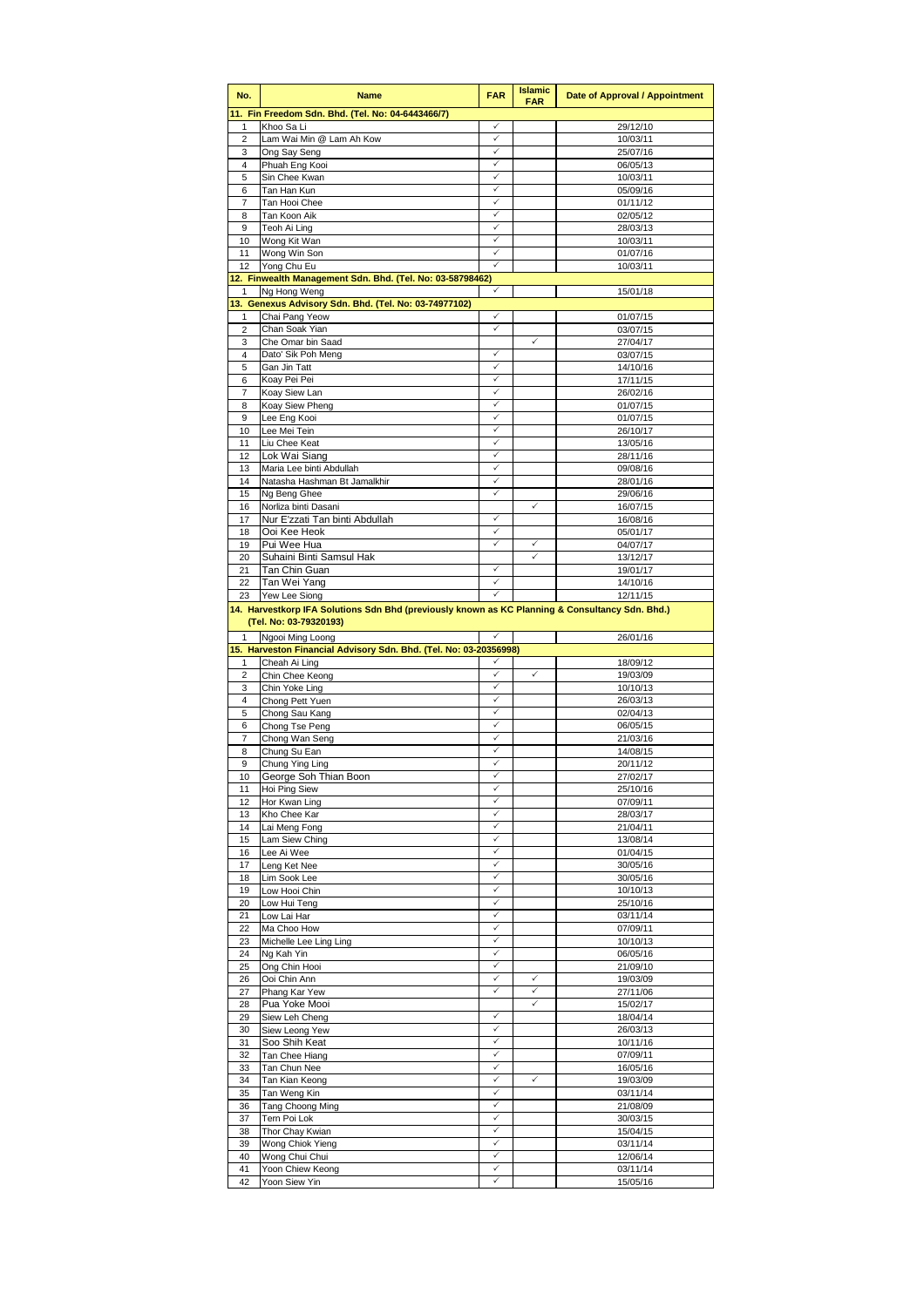| No.                          | <b>Name</b>                                                                                     | <b>FAR</b>                   | <b>Islamic</b><br><b>FAR</b> | Date of Approval / Appointment |
|------------------------------|-------------------------------------------------------------------------------------------------|------------------------------|------------------------------|--------------------------------|
|                              | 11. Fin Freedom Sdn. Bhd. (Tel. No: 04-6443466/7)                                               |                              |                              |                                |
| 1                            | Khoo Sa Li                                                                                      | ✓                            |                              | 29/12/10                       |
| $\overline{2}$               | Lam Wai Min @ Lam Ah Kow                                                                        | ✓                            |                              | 10/03/11                       |
| 3                            | Ong Say Seng                                                                                    | $\checkmark$<br>✓            |                              | 25/07/16                       |
| 4<br>5                       | Phuah Eng Kooi<br>Sin Chee Kwan                                                                 | ✓                            |                              | 06/05/13<br>10/03/11           |
| 6                            | Tan Han Kun                                                                                     | ✓                            |                              | 05/09/16                       |
| $\overline{7}$               | Tan Hooi Chee                                                                                   | $\checkmark$                 |                              | 01/11/12                       |
| 8                            | Tan Koon Aik                                                                                    | ✓                            |                              | 02/05/12                       |
| 9                            | Teoh Ai Ling                                                                                    | ✓                            |                              | 28/03/13                       |
| 10<br>11                     | Wong Kit Wan                                                                                    | ✓<br>✓                       |                              | 10/03/11                       |
| 12                           | Wong Win Son<br>Yong Chu Eu                                                                     | ✓                            |                              | 01/07/16<br>10/03/11           |
|                              | 12. Finwealth Management Sdn. Bhd. (Tel. No: 03-58798462)                                       |                              |                              |                                |
| $\mathbf{1}$                 | Ng Hong Weng                                                                                    | ✓                            |                              | 15/01/18                       |
|                              | 13. Genexus Advisory Sdn. Bhd. (Tel. No: 03-74977102)                                           |                              |                              |                                |
| 1                            | Chai Pang Yeow                                                                                  | ✓                            |                              | 01/07/15                       |
| $\overline{\mathbf{c}}$<br>3 | Chan Soak Yian<br>Che Omar bin Saad                                                             | ✓                            | $\checkmark$                 | 03/07/15<br>27/04/17           |
| 4                            | Dato' Sik Poh Meng                                                                              | ✓                            |                              | 03/07/15                       |
| 5                            | Gan Jin Tatt                                                                                    | ✓                            |                              | 14/10/16                       |
| 6                            | Koay Pei Pei                                                                                    | ✓                            |                              | 17/11/15                       |
| 7                            | Koay Siew Lan                                                                                   | ✓                            |                              | 26/02/16                       |
| 8                            | Koay Siew Pheng                                                                                 | ✓                            |                              | 01/07/15                       |
| 9                            | Lee Eng Kooi                                                                                    | ✓                            |                              | 01/07/15                       |
| 10<br>11                     | Lee Mei Tein<br>Liu Chee Keat                                                                   | ✓<br>$\checkmark$            |                              | 26/10/17<br>13/05/16           |
| 12                           | Lok Wai Siang                                                                                   | ✓                            |                              | 28/11/16                       |
| 13                           | Maria Lee binti Abdullah                                                                        | $\checkmark$                 |                              | 09/08/16                       |
| 14                           | Natasha Hashman Bt Jamalkhir                                                                    | ✓                            |                              | 28/01/16                       |
| 15                           | Ng Beng Ghee                                                                                    |                              |                              | 29/06/16                       |
| 16                           | Norliza binti Dasani                                                                            |                              | ✓                            | 16/07/15                       |
| 17                           | Nur E'zzati Tan binti Abdullah                                                                  | $\checkmark$                 |                              | 16/08/16                       |
| 18<br>19                     | Ooi Kee Heok<br>Pui Wee Hua                                                                     | ✓<br>✓                       | ✓                            | 05/01/17<br>04/07/17           |
| 20                           | Suhaini Binti Samsul Hak                                                                        |                              | ✓                            | 13/12/17                       |
| 21                           | Tan Chin Guan                                                                                   | ✓                            |                              | 19/01/17                       |
| 22                           | Tan Wei Yang                                                                                    | $\checkmark$                 |                              | 14/10/16                       |
| 23                           | Yew Lee Siong                                                                                   | ✓                            |                              | 12/11/15                       |
|                              | 14. Harvestkorp IFA Solutions Sdn Bhd (previously known as KC Planning & Consultancy Sdn. Bhd.) |                              |                              |                                |
|                              | (Tel. No: 03-79320193)                                                                          |                              |                              |                                |
|                              | Ngooi Ming Loong<br>15. Harveston Financial Advisory Sdn. Bhd. (Tel. No: 03-20356998)           |                              |                              | 26/01/16                       |
| 1                            | Cheah Ai Ling                                                                                   | ✓                            |                              | 18/09/12                       |
| 2                            | Chin Chee Keong                                                                                 | ✓                            | ✓                            | 19/03/09                       |
| 3                            | Chin Yoke Ling                                                                                  | ✓                            |                              | 10/10/13                       |
| $\overline{4}$               | Chong Pett Yuen                                                                                 | ✓                            |                              | 26/03/13                       |
| 5                            | Chong Sau Kang                                                                                  | $\checkmark$                 |                              | 02/04/13                       |
| 6                            | Chong Tse Peng<br>Chong Wan Seng                                                                | ✓<br>$\checkmark$            |                              | 06/05/15                       |
| 7<br>8                       | Chung Su Ean                                                                                    | ✓                            |                              | 21/03/16<br>14/08/15           |
| 9                            | Chung Ying Ling                                                                                 | ✓                            |                              | 20/11/12                       |
| 10                           | George Soh Thian Boon                                                                           | ✓                            |                              | 27/02/17                       |
| 11                           | Hoi Ping Siew                                                                                   | ✓                            |                              | 25/10/16                       |
| 12                           | Hor Kwan Ling                                                                                   | ✓                            |                              | 07/09/11                       |
| 13                           | Kho Chee Kar                                                                                    | $\checkmark$                 |                              | 28/03/17                       |
| 14<br>15                     | Lai Meng Fong                                                                                   | ✓<br>✓                       |                              | 21/04/11<br>13/08/14           |
| 16                           | Lam Siew Ching<br>Lee Ai Wee                                                                    | ✓                            |                              | 01/04/15                       |
| 17                           | Leng Ket Nee                                                                                    | ✓                            |                              | 30/05/16                       |
| 18                           | Lim Sook Lee                                                                                    | $\checkmark$                 |                              | 30/05/16                       |
| 19                           | Low Hooi Chin                                                                                   | ✓                            |                              | 10/10/13                       |
| 20                           | Low Hui Teng                                                                                    | ✓                            |                              | 25/10/16                       |
| 21<br>22                     | Low Lai Har<br>Ma Choo How                                                                      | $\checkmark$<br>$\checkmark$ |                              | 03/11/14<br>07/09/11           |
| 23                           | Michelle Lee Ling Ling                                                                          | ✓                            |                              | 10/10/13                       |
| 24                           | Ng Kah Yin                                                                                      | ✓                            |                              | 06/05/16                       |
| 25                           | Ong Chin Hooi                                                                                   | $\checkmark$                 |                              | 21/09/10                       |
| 26                           | Ooi Chin Ann                                                                                    | ✓                            | ✓                            | 19/03/09                       |
| 27                           | Phang Kar Yew                                                                                   | ✓                            | ✓                            | 27/11/06                       |
| 28                           | Pua Yoke Mooi                                                                                   | ✓                            | ✓                            | 15/02/17                       |
| 29<br>30                     | Siew Leh Cheng<br>Siew Leong Yew                                                                | $\checkmark$                 |                              | 18/04/14<br>26/03/13           |
| 31                           | Soo Shih Keat                                                                                   | ✓                            |                              | 10/11/16                       |
| 32                           | Tan Chee Hiang                                                                                  | $\checkmark$                 |                              | 07/09/11                       |
| 33                           | Tan Chun Nee                                                                                    | ✓                            |                              | 16/05/16                       |
| 34                           | Tan Kian Keong                                                                                  | ✓                            | ✓                            | 19/03/09                       |
| 35                           | Tan Weng Kin                                                                                    | ✓<br>$\checkmark$            |                              | 03/11/14                       |
| 36<br>37                     | Tang Choong Ming<br>Tern Poi Lok                                                                | ✓                            |                              | 21/08/09<br>30/03/15           |
| 38                           | Thor Chay Kwian                                                                                 | $\checkmark$                 |                              | 15/04/15                       |
| 39                           | Wong Chiok Yieng                                                                                | ✓                            |                              | 03/11/14                       |
| 40                           | Wong Chui Chui                                                                                  | $\checkmark$                 |                              | 12/06/14                       |
| 41                           | Yoon Chiew Keong                                                                                | ✓                            |                              | 03/11/14                       |
| 42                           | Yoon Siew Yin                                                                                   | ✓                            |                              | 15/05/16                       |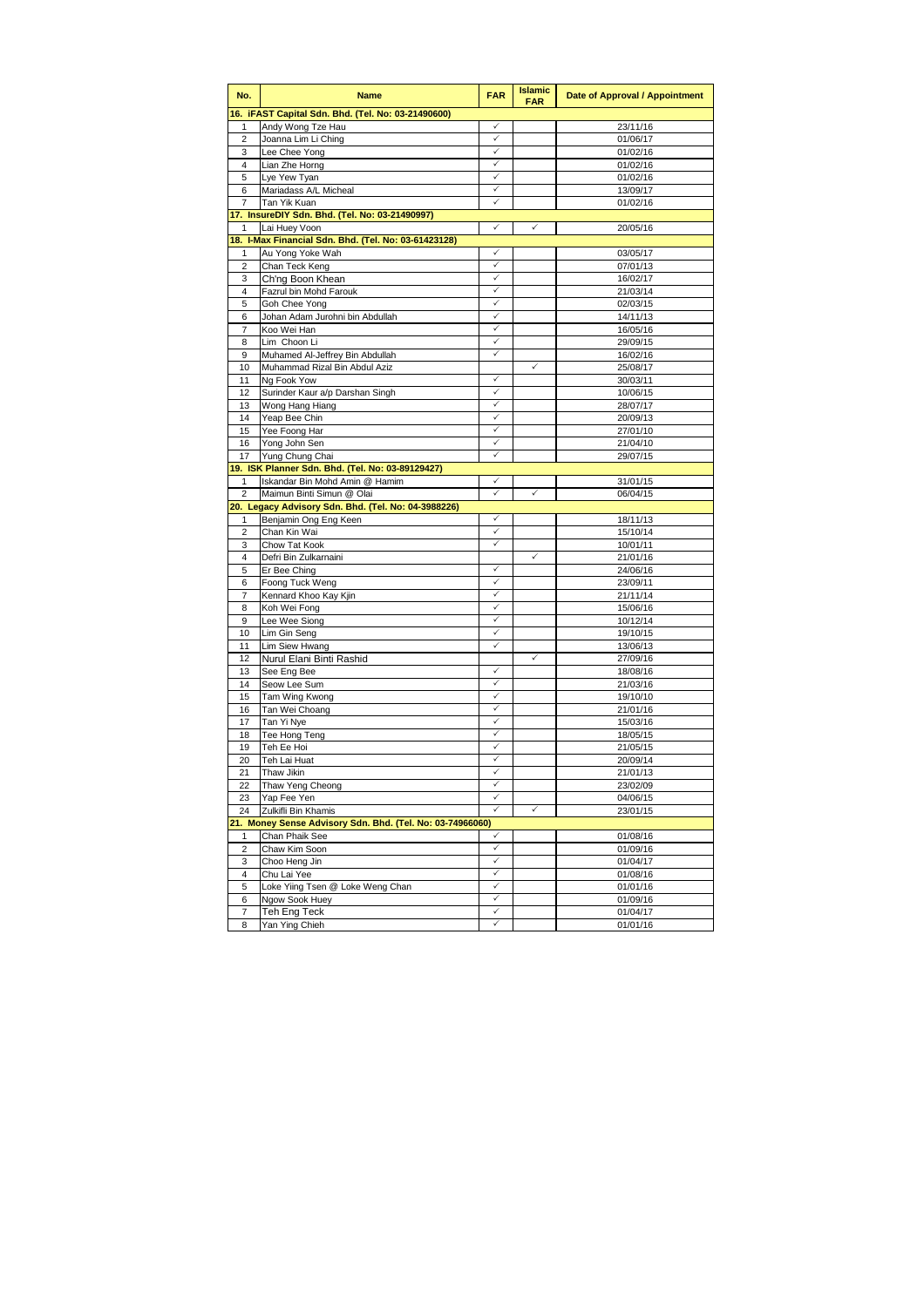| No.            | <b>Name</b>                                               | <b>FAR</b>   | <b>Islamic</b><br><b>FAR</b> | Date of Approval / Appointment |
|----------------|-----------------------------------------------------------|--------------|------------------------------|--------------------------------|
|                | 16. iFAST Capital Sdn. Bhd. (Tel. No: 03-21490600)        |              |                              |                                |
| 1              | Andy Wong Tze Hau                                         | ✓            |                              | 23/11/16                       |
| 2              | Joanna Lim Li Ching                                       | ✓            |                              | 01/06/17                       |
| 3              | Lee Chee Yong                                             | ✓            |                              | 01/02/16                       |
| $\overline{4}$ | Lian Zhe Horng                                            | ✓            |                              | 01/02/16                       |
| 5              | Lye Yew Tyan                                              | ✓            |                              | 01/02/16                       |
| 6              | Mariadass A/L Micheal                                     | ✓            |                              | 13/09/17                       |
| 7              | Tan Yik Kuan                                              | ✓            |                              | 01/02/16                       |
|                | 17. InsureDIY Sdn. Bhd. (Tel. No: 03-21490997)            |              |                              |                                |
| 1              | Lai Huey Voon                                             | ✓            | ✓                            | 20/05/16                       |
|                | 18. I-Max Financial Sdn. Bhd. (Tel. No: 03-61423128)      |              |                              |                                |
| 1              | Au Yong Yoke Wah                                          | ✓            |                              | 03/05/17                       |
| $\overline{2}$ | Chan Teck Keng                                            | ✓            |                              | 07/01/13                       |
| 3              | Ch'ng Boon Khean                                          | ✓            |                              | 16/02/17                       |
| $\overline{4}$ | Fazrul bin Mohd Farouk                                    | ✓            |                              | 21/03/14                       |
| 5              | Goh Chee Yong                                             | ✓            |                              | 02/03/15                       |
| 6              | Johan Adam Jurohni bin Abdullah                           |              |                              | 14/11/13                       |
| 7              | Koo Wei Han                                               | ✓            |                              | 16/05/16                       |
| 8              | Lim Choon Li                                              | ✓            |                              | 29/09/15                       |
| 9              | Muhamed Al-Jeffrey Bin Abdullah                           |              |                              | 16/02/16                       |
| 10             | Muhammad Rizal Bin Abdul Aziz                             |              | ✓                            | 25/08/17                       |
| 11             | Ng Fook Yow                                               | ✓            |                              | 30/03/11                       |
| 12             | Surinder Kaur a/p Darshan Singh                           | ✓            |                              | 10/06/15                       |
| 13             | Wong Hang Hiang                                           | ✓            |                              | 28/07/17                       |
| 14             | Yeap Bee Chin                                             | ✓            |                              | 20/09/13                       |
| 15             | Yee Foong Har                                             | ✓            |                              | 27/01/10                       |
| 16             | Yong John Sen                                             | ✓            |                              | 21/04/10                       |
| 17             | Yung Chung Chai                                           | ✓            |                              | 29/07/15                       |
|                | 19. ISK Planner Sdn. Bhd. (Tel. No: 03-89129427)          |              |                              |                                |
| 1              | Iskandar Bin Mohd Amin @ Hamim                            | ✓            |                              | 31/01/15                       |
| 2              | Maimun Binti Simun @ Olai                                 | ✓            | ✓                            | 06/04/15                       |
|                | 20. Legacy Advisory Sdn. Bhd. (Tel. No: 04-3988226)       |              |                              |                                |
| 1              | Benjamin Ong Eng Keen                                     | $\checkmark$ |                              | 18/11/13                       |
| 2              | Chan Kin Wai                                              | ✓<br>✓       |                              | 15/10/14                       |
| 3              | Chow Tat Kook                                             |              | ✓                            | 10/01/11                       |
| 4              | Defri Bin Zulkarnaini                                     |              |                              | 21/01/16                       |
| 5              | Er Bee Ching                                              | ✓<br>✓       |                              | 24/06/16                       |
| 6              | Foong Tuck Weng                                           | ✓            |                              | 23/09/11                       |
| 7              | Kennard Khoo Kay Kjin                                     | ✓            |                              | 21/11/14                       |
| 8              | Koh Wei Fong                                              | ✓            |                              | 15/06/16                       |
| 9              | Lee Wee Siong                                             | ✓            |                              | 10/12/14                       |
| 10<br>11       | Lim Gin Seng                                              | ✓            |                              | 19/10/15                       |
| 12             | Lim Siew Hwang<br>Nurul Elani Binti Rashid                |              | $\checkmark$                 | 13/06/13                       |
|                |                                                           | ✓            |                              | 27/09/16                       |
| 13<br>14       | See Eng Bee<br>Seow Lee Sum                               | ✓            |                              | 18/08/16<br>21/03/16           |
| 15             | Tam Wing Kwong                                            | ✓            |                              | 19/10/10                       |
| 16             | Tan Wei Choang                                            | ✓            |                              | 21/01/16                       |
| 17             | Tan Yi Nye                                                | ✓            |                              |                                |
| 18             | Tee Hong Teng                                             | ✓            |                              | 15/03/16<br>18/05/15           |
| 19             | Teh Ee Hoi                                                | ✓            |                              | 21/05/15                       |
| 20             | Teh Lai Huat                                              | ✓            |                              | 20/09/14                       |
| 21             | Thaw Jikin                                                | ✓            |                              | 21/01/13                       |
| 22             |                                                           | ✓            |                              | 23/02/09                       |
| 23             | Thaw Yeng Cheong<br>Yap Fee Yen                           | ✓            |                              | 04/06/15                       |
| 24             | Zulkifli Bin Khamis                                       |              | ✓                            | 23/01/15                       |
|                | 21. Money Sense Advisory Sdn. Bhd. (Tel. No: 03-74966060) |              |                              |                                |
| 1              | Chan Phaik See                                            | ✓            |                              | 01/08/16                       |
| 2              | Chaw Kim Soon                                             | ✓            |                              | 01/09/16                       |
| 3              | Choo Heng Jin                                             | ✓            |                              | 01/04/17                       |
| 4              | Chu Lai Yee                                               | $\checkmark$ |                              | 01/08/16                       |
| 5              | Loke Yiing Tsen @ Loke Weng Chan                          | ✓            |                              | 01/01/16                       |
| 6              | Ngow Sook Huey                                            | ✓            |                              | 01/09/16                       |
| 7              | Teh Eng Teck                                              | ✓            |                              | 01/04/17                       |
| 8              | Yan Ying Chieh                                            | ✓            |                              | 01/01/16                       |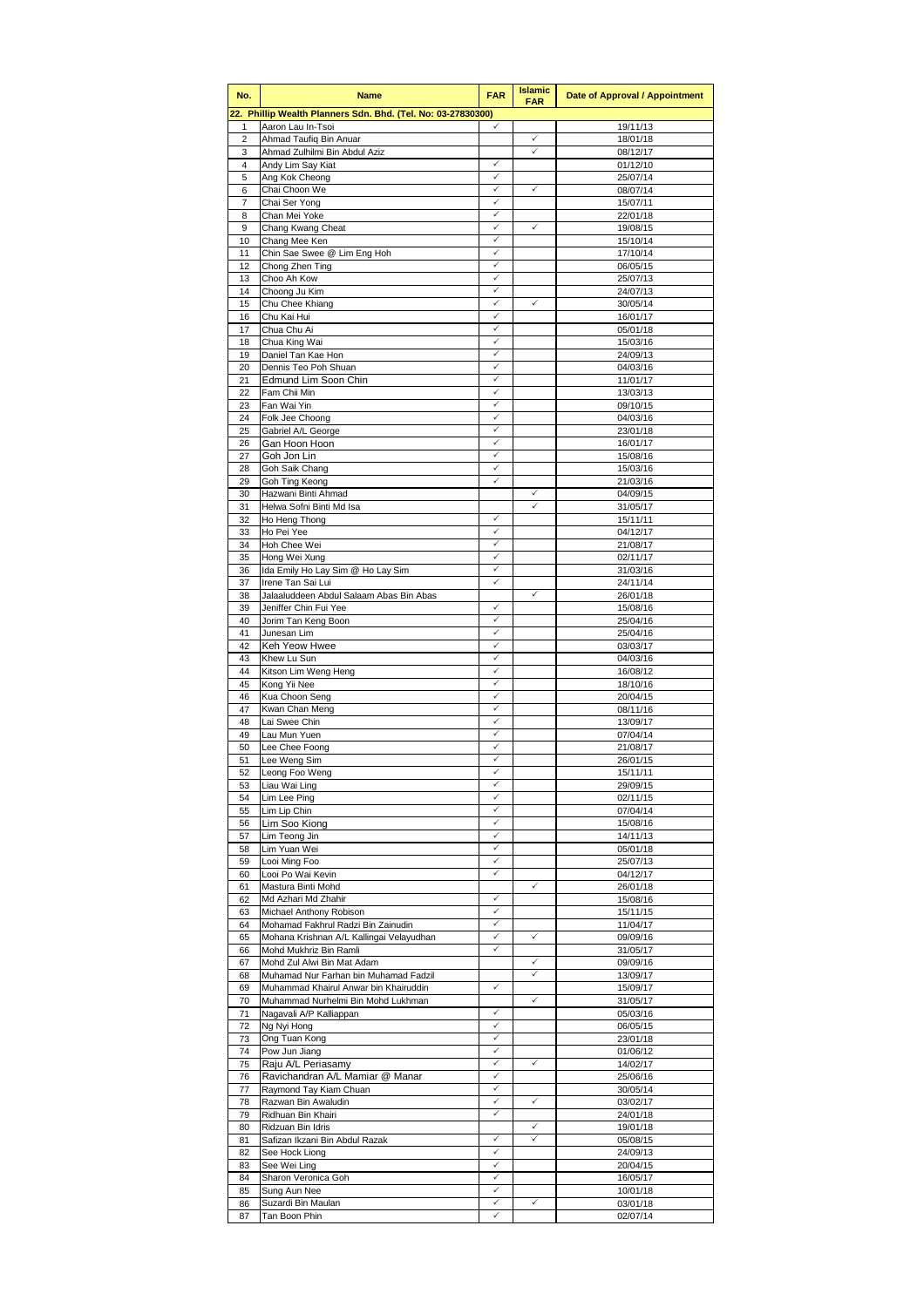| No.                     | <b>Name</b>                                                         | <b>FAR</b>                   | <b>Islamic</b><br><b>FAR</b> | Date of Approval / Appointment |
|-------------------------|---------------------------------------------------------------------|------------------------------|------------------------------|--------------------------------|
|                         | 22. Phillip Wealth Planners Sdn. Bhd. (Tel. No: 03-27830300)        |                              |                              |                                |
| 1                       | Aaron Lau In-Tsoi                                                   | $\checkmark$                 | $\checkmark$                 | 19/11/13                       |
| 2<br>3                  | Ahmad Taufiq Bin Anuar<br>Ahmad Zulhilmi Bin Abdul Aziz             |                              | ✓                            | 18/01/18<br>08/12/17           |
| $\overline{\mathbf{4}}$ | Andy Lim Say Kiat                                                   | ✓                            |                              | 01/12/10                       |
| 5                       | Ang Kok Cheong                                                      | $\checkmark$                 |                              | 25/07/14                       |
| 6                       | Chai Choon We                                                       | $\checkmark$                 | ✓                            | 08/07/14                       |
| 7                       | Chai Ser Yong                                                       | $\checkmark$                 |                              | 15/07/11                       |
| 8<br>9                  | Chan Mei Yoke<br>Chang Kwang Cheat                                  | ✓<br>$\checkmark$            | ✓                            | 22/01/18<br>19/08/15           |
| 10                      | Chang Mee Ken                                                       | $\checkmark$                 |                              | 15/10/14                       |
| 11                      | Chin Sae Swee @ Lim Eng Hoh                                         | $\checkmark$                 |                              | 17/10/14                       |
| 12                      | Chong Zhen Ting                                                     | $\checkmark$                 |                              | 06/05/15                       |
| 13                      | Choo Ah Kow                                                         | $\checkmark$                 |                              | 25/07/13                       |
| 14<br>15                | Choong Ju Kim<br>Chu Chee Khiang                                    | ✓<br>$\checkmark$            | ✓                            | 24/07/13<br>30/05/14           |
| 16                      | Chu Kai Hui                                                         | $\checkmark$                 |                              | 16/01/17                       |
| 17                      | Chua Chu Ai                                                         | ✓                            |                              | 05/01/18                       |
| 18                      | Chua King Wai                                                       | $\checkmark$                 |                              | 15/03/16                       |
| 19                      | Daniel Tan Kae Hon                                                  | $\checkmark$                 |                              | 24/09/13                       |
| 20                      | Dennis Teo Poh Shuan                                                | $\checkmark$                 |                              | 04/03/16                       |
| 21<br>22                | Edmund Lim Soon Chin<br>Fam Chii Min                                | $\checkmark$<br>✓            |                              | 11/01/17<br>13/03/13           |
| 23                      | Fan Wai Yin                                                         | $\checkmark$                 |                              | 09/10/15                       |
| 24                      | Folk Jee Choong                                                     | $\checkmark$                 |                              | 04/03/16                       |
| 25                      | Gabriel A/L George                                                  | ✓                            |                              | 23/01/18                       |
| 26                      | Gan Hoon Hoon                                                       | $\checkmark$                 |                              | 16/01/17                       |
| 27                      | Goh Jon Lin                                                         | $\checkmark$                 |                              | 15/08/16                       |
| 28<br>29                | Goh Saik Chang<br>Goh Ting Keong                                    | ✓<br>$\checkmark$            |                              | 15/03/16<br>21/03/16           |
| 30                      | Hazwani Binti Ahmad                                                 |                              | $\checkmark$                 | 04/09/15                       |
| 31                      | Helwa Sofni Binti Md Isa                                            |                              | $\checkmark$                 | 31/05/17                       |
| 32                      | Ho Heng Thong                                                       | $\checkmark$                 |                              | 15/11/11                       |
| 33                      | Ho Pei Yee                                                          | ✓                            |                              | 04/12/17                       |
| 34                      | Hoh Chee Wei                                                        | $\checkmark$                 |                              | 21/08/17                       |
| 35<br>36                | Hong Wei Xung<br>Ida Emily Ho Lay Sim @ Ho Lay Sim                  | $\checkmark$<br>$\checkmark$ |                              | 02/11/17<br>31/03/16           |
| 37                      | Irene Tan Sai Lui                                                   | $\checkmark$                 |                              | 24/11/14                       |
| 38                      | Jalaaluddeen Abdul Salaam Abas Bin Abas                             |                              | $\checkmark$                 | 26/01/18                       |
| 39                      | Jeniffer Chin Fui Yee                                               | ✓                            |                              | 15/08/16                       |
| 40                      | Jorim Tan Keng Boon                                                 | $\checkmark$                 |                              | 25/04/16                       |
| 41<br>42                | Junesan Lim<br>Keh Yeow Hwee                                        | $\checkmark$<br>$\checkmark$ |                              | 25/04/16                       |
| 43                      | Khew Lu Sun                                                         | $\checkmark$                 |                              | 03/03/17<br>04/03/16           |
| 44                      | Kitson Lim Weng Heng                                                | $\checkmark$                 |                              | 16/08/12                       |
| 45                      | Kong Yii Nee                                                        | $\checkmark$                 |                              | 18/10/16                       |
| 46                      | Kua Choon Seng                                                      | $\checkmark$                 |                              | 20/04/15                       |
| 47                      | Kwan Chan Meng                                                      | $\checkmark$<br>$\checkmark$ |                              | 08/11/16                       |
| 48<br>49                | Lai Swee Chin<br>Lau Mun Yuen                                       | $\checkmark$                 |                              | 13/09/17<br>07/04/14           |
| 50                      | Lee Chee Foong                                                      | ✓                            |                              | 21/08/17                       |
| 51                      | Lee Weng Sim                                                        | ✓                            |                              | 26/01/15                       |
| 52                      | Leong Foo Weng                                                      | ✓                            |                              | 15/11/11                       |
| 53                      | Liau Wai Ling                                                       | $\checkmark$                 |                              | 29/09/15                       |
| 54                      | Lim Lee Ping                                                        | $\checkmark$<br>$\checkmark$ |                              | 02/11/15                       |
| 55<br>56                | Lim Lip Chin<br>Lim Soo Kiong                                       | $\checkmark$                 |                              | 07/04/14<br>15/08/16           |
| 57                      | Lim Teona Jin                                                       | $\checkmark$                 |                              | 14/11/13                       |
| 58                      | Lim Yuan Wei                                                        | ✓                            |                              | 05/01/18                       |
| 59                      | Looi Ming Foo                                                       | $\checkmark$                 |                              | 25/07/13                       |
| 60                      | Looi Po Wai Kevin                                                   | $\checkmark$                 | ✓                            | 04/12/17                       |
| 61<br>62                | Mastura Binti Mohd<br>Md Azhari Md Zhahir                           | $\checkmark$                 |                              | 26/01/18<br>15/08/16           |
| 63                      | Michael Anthony Robison                                             | $\checkmark$                 |                              | 15/11/15                       |
| 64                      | Mohamad Fakhrul Radzi Bin Zainudin                                  | $\checkmark$                 |                              | 11/04/17                       |
| 65                      | Mohana Krishnan A/L Kallingai Velayudhan                            | $\checkmark$                 | ✓                            | 09/09/16                       |
| 66                      | Mohd Mukhriz Bin Ramli                                              | $\checkmark$                 |                              | 31/05/17                       |
| 67                      | Mohd Zul Alwi Bin Mat Adam<br>Muhamad Nur Farhan bin Muhamad Fadzil |                              | ✓<br>✓                       | 09/09/16                       |
| 68<br>69                | Muhammad Khairul Anwar bin Khairuddin                               | $\checkmark$                 |                              | 13/09/17<br>15/09/17           |
| 70                      | Muhammad Nurhelmi Bin Mohd Lukhman                                  |                              | ✓                            | 31/05/17                       |
| 71                      | Nagavali A/P Kalliappan                                             | $\checkmark$                 |                              | 05/03/16                       |
| 72                      | Ng Nyi Hong                                                         | $\checkmark$                 |                              | 06/05/15                       |
| 73                      | Ong Tuan Kong                                                       | $\checkmark$                 |                              | 23/01/18                       |
| 74<br>75                | Pow Jun Jiang<br>Raju A/L Periasamy                                 | $\checkmark$<br>✓            | ✓                            | 01/06/12<br>14/02/17           |
| 76                      | Ravichandran A/L Mamiar @ Manar                                     | $\checkmark$                 |                              | 25/06/16                       |
| 77                      | Raymond Tay Kiam Chuan                                              | ✓                            |                              | 30/05/14                       |
| 78                      | Razwan Bin Awaludin                                                 | ✓                            | ✓                            | 03/02/17                       |
| 79                      | Ridhuan Bin Khairi                                                  | $\checkmark$                 |                              | 24/01/18                       |
| 80                      | Ridzuan Bin Idris                                                   |                              | ✓                            | 19/01/18                       |
| 81                      | Safizan Ikzani Bin Abdul Razak                                      | $\checkmark$<br>$\checkmark$ | ✓                            | 05/08/15                       |
| 82<br>83                | See Hock Liong<br>See Wei Ling                                      | ✓                            |                              | 24/09/13<br>20/04/15           |
| 84                      | Sharon Veronica Goh                                                 | $\checkmark$                 |                              | 16/05/17                       |
| 85                      | Sung Aun Nee                                                        | ✓                            |                              | 10/01/18                       |
| 86                      | Suzardi Bin Maulan                                                  | $\checkmark$                 | ✓                            | 03/01/18                       |
| 87                      | Tan Boon Phin                                                       | $\checkmark$                 |                              | 02/07/14                       |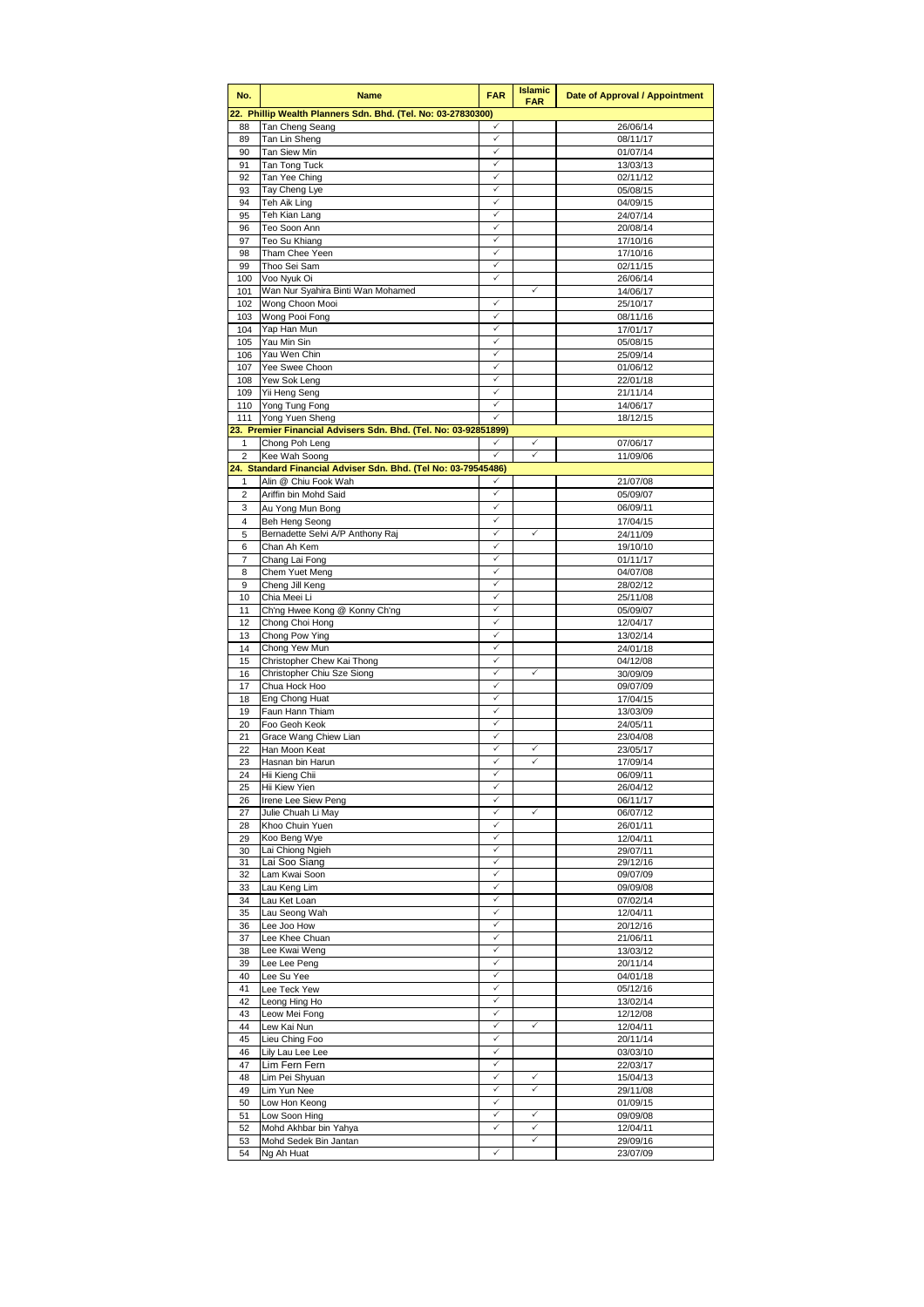| No.                 | <b>Name</b>                                                     | <b>FAR</b> | <b>Islamic</b><br><b>FAR</b> | Date of Approval / Appointment |
|---------------------|-----------------------------------------------------------------|------------|------------------------------|--------------------------------|
|                     | 22. Phillip Wealth Planners Sdn. Bhd. (Tel. No: 03-27830300)    |            |                              |                                |
| 88<br>89            | Tan Cheng Seang<br>Tan Lin Sheng                                | ✓<br>✓     |                              | 26/06/14<br>08/11/17           |
| 90                  | Tan Siew Min                                                    | ✓          |                              | 01/07/14                       |
| 91                  | Tan Tong Tuck                                                   | ✓          |                              | 13/03/13                       |
| 92                  | Tan Yee Ching                                                   | ✓          |                              | 02/11/12                       |
| 93<br>94            | Tay Cheng Lye<br>Teh Aik Ling                                   | ✓<br>✓     |                              | 05/08/15<br>04/09/15           |
| 95                  | Teh Kian Lang                                                   | ✓          |                              | 24/07/14                       |
| 96                  | Teo Soon Ann                                                    | ✓          |                              | 20/08/14                       |
| 97                  | Teo Su Khiang                                                   | ✓          |                              | 17/10/16                       |
| 98<br>99            | Tham Chee Yeen<br>Thoo Sei Sam                                  | ✓<br>✓     |                              | 17/10/16<br>02/11/15           |
| 100                 | Voo Nyuk Oi                                                     | ✓          |                              | 26/06/14                       |
| 101                 | Wan Nur Syahira Binti Wan Mohamed                               |            | ✓                            | 14/06/17                       |
| 102                 | Wong Choon Mooi                                                 | ✓          |                              | 25/10/17                       |
| 103<br>104          | Wong Pooi Fong<br>Yap Han Mun                                   | ✓          |                              | 08/11/16<br>17/01/17           |
| 105                 | Yau Min Sin                                                     | ✓          |                              | 05/08/15                       |
| 106                 | Yau Wen Chin                                                    |            |                              | 25/09/14                       |
| 107                 | Yee Swee Choon                                                  | ✓          |                              | 01/06/12                       |
| 108<br>109          | Yew Sok Leng<br>Yii Heng Seng                                   | ✓<br>✓     |                              | 22/01/18<br>21/11/14           |
| 110                 | Yong Tung Fong                                                  | ✓          |                              | 14/06/17                       |
| 111                 | Yong Yuen Sheng                                                 |            |                              | 18/12/15                       |
|                     | 23. Premier Financial Advisers Sdn. Bhd. (Tel. No: 03-92851899) |            |                              |                                |
| 1<br>$\overline{2}$ | Chong Poh Leng<br>Kee Wah Soong                                 |            | ✓<br>✓                       | 07/06/17<br>11/09/06           |
|                     | 24. Standard Financial Adviser Sdn. Bhd. (Tel No: 03-79545486)  |            |                              |                                |
| 1                   | Alin @ Chiu Fook Wah                                            | ✓          |                              | 21/07/08                       |
| 2                   | Ariffin bin Mohd Said                                           | ✓          |                              | 05/09/07                       |
| 3                   | Au Yong Mun Bong                                                | ✓<br>✓     |                              | 06/09/11                       |
| 4<br>5              | <b>Beh Heng Seong</b><br>Bernadette Selvi A/P Anthony Raj       | ✓          | ✓                            | 17/04/15<br>24/11/09           |
| 6                   | Chan Ah Kem                                                     | ✓          |                              | 19/10/10                       |
| 7                   | Chang Lai Fong                                                  |            |                              | 01/11/17                       |
| 8                   | Chem Yuet Meng                                                  | ✓          |                              | 04/07/08                       |
| 9<br>10             | Cheng Jill Keng<br>Chia Meei Li                                 | ✓<br>✓     |                              | 28/02/12<br>25/11/08           |
| 11                  | Ch'ng Hwee Kong @ Konny Ch'ng                                   | ✓          |                              | 05/09/07                       |
| 12                  | Chong Choi Hong                                                 | ✓          |                              | 12/04/17                       |
| 13                  | Chong Pow Ying                                                  | ✓          |                              | 13/02/14                       |
| 14<br>15            | Chong Yew Mun<br>Christopher Chew Kai Thong                     | ✓<br>✓     |                              | 24/01/18<br>04/12/08           |
| 16                  | Christopher Chiu Sze Siong                                      | ✓          | ✓                            | 30/09/09                       |
| 17                  | Chua Hock Hoo                                                   | ✓          |                              | 09/07/09                       |
| 18                  | Eng Chong Huat                                                  | ✓          |                              | 17/04/15                       |
| 19<br>20            | Faun Hann Thiam<br>Foo Geoh Keok                                | ✓<br>✓     |                              | 13/03/09<br>24/05/11           |
| 21                  | Grace Wang Chiew Lian                                           | ✓          |                              | 23/04/08                       |
| 22                  | Han Moon Keat                                                   | ✓          | ✓                            | 23/05/17                       |
| 23                  | Hasnan bin Harun                                                | ✓          | ✓                            | 17/09/14                       |
| 24<br>25            | Hii Kieng Chii<br>Hii Kiew Yien                                 | ✓<br>✓     |                              | 06/09/11<br>26/04/12           |
| 26                  | Irene Lee Siew Peng                                             | ✓          |                              | 06/11/17                       |
| 27                  | Julie Chuah Li May                                              | ✓          | ✓                            | 06/07/12                       |
| 28                  | Khoo Chuin Yuen                                                 | ✓          |                              | 26/01/11                       |
| 29<br>30            | Koo Beng Wye<br>Lai Chiong Ngieh                                | ✓<br>✓     |                              | 12/04/11<br>29/07/11           |
| 31                  | Lai Soo Siang                                                   | ✓          |                              | 29/12/16                       |
| 32                  | Lam Kwai Soon                                                   | ✓          |                              | 09/07/09                       |
| 33                  | Lau Keng Lim                                                    | ✓          |                              | 09/09/08                       |
| 34<br>35            | Lau Ket Loan<br>Lau Seong Wah                                   | ✓<br>✓     |                              | 07/02/14<br>12/04/11           |
| 36                  | Lee Joo How                                                     | ✓          |                              | 20/12/16                       |
| 37                  | Lee Khee Chuan                                                  | ✓          |                              | 21/06/11                       |
| 38                  | Lee Kwai Weng                                                   | ✓          |                              | 13/03/12                       |
| 39<br>40            | Lee Lee Peng<br>Lee Su Yee                                      | ✓<br>✓     |                              | 20/11/14<br>04/01/18           |
| 41                  | Lee Teck Yew                                                    | ✓          |                              | 05/12/16                       |
| 42                  | Leong Hing Ho                                                   | ✓          |                              | 13/02/14                       |
| 43                  | Leow Mei Fong                                                   | ✓          |                              | 12/12/08                       |
| 44<br>45            | Lew Kai Nun<br>Lieu Ching Foo                                   | ✓<br>✓     | ✓                            | 12/04/11<br>20/11/14           |
| 46                  | Lily Lau Lee Lee                                                | ✓          |                              | 03/03/10                       |
| 47                  | Lim Fern Fern                                                   | ✓          |                              | 22/03/17                       |
| 48                  | Lim Pei Shyuan                                                  | ✓          | ✓                            | 15/04/13                       |
| 49<br>50            | Lim Yun Nee<br>Low Hon Keong                                    | ✓          | ✓                            | 29/11/08<br>01/09/15           |
| 51                  | Low Soon Hing                                                   | ✓          | $\checkmark$                 | 09/09/08                       |
| 52                  | Mohd Akhbar bin Yahya                                           | ✓          | ✓                            | 12/04/11                       |
| 53                  | Mohd Sedek Bin Jantan                                           |            | $\checkmark$                 | 29/09/16                       |
| 54                  | Ng Ah Huat                                                      | ✓          |                              | 23/07/09                       |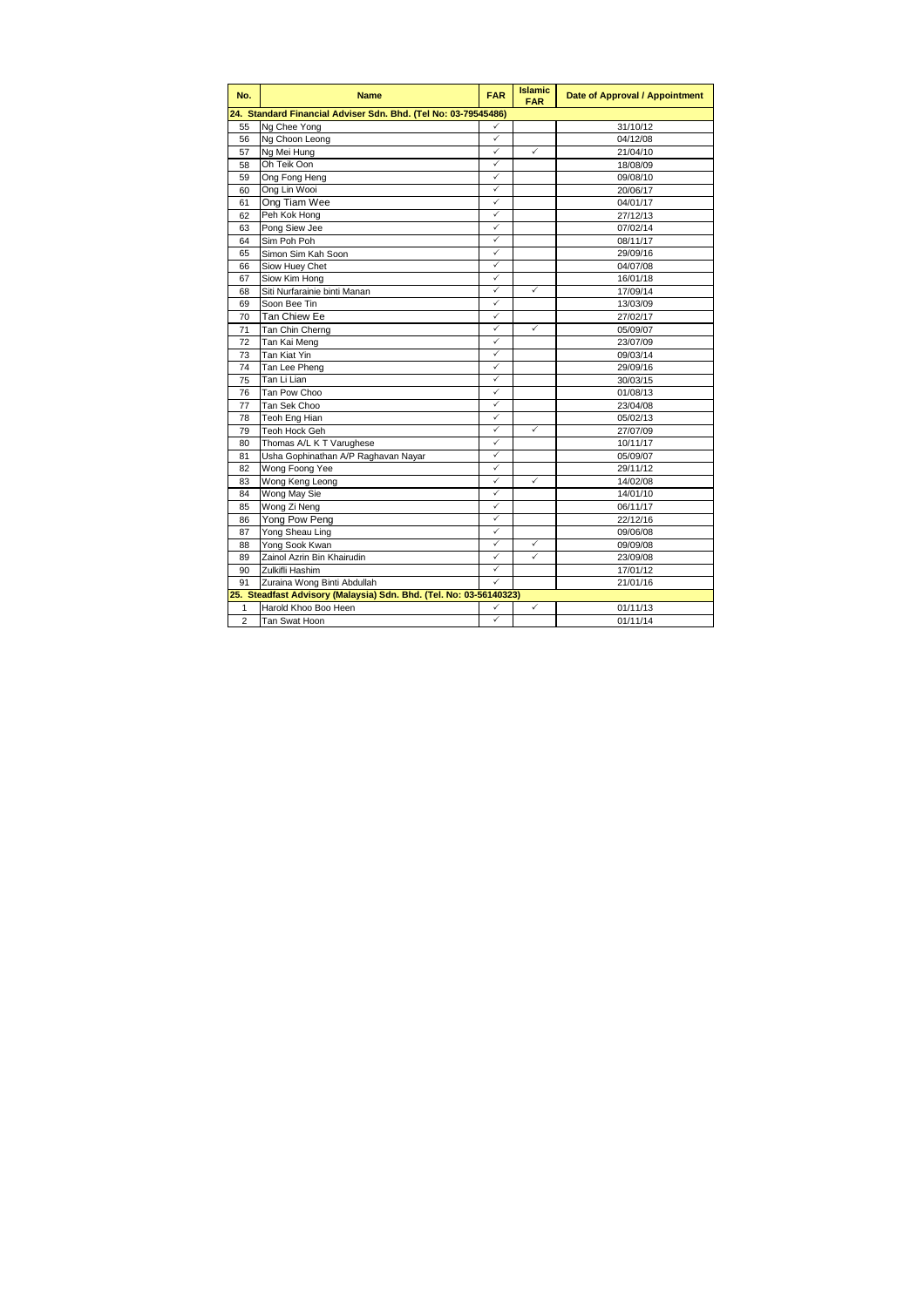| No.            | <b>Name</b>                                                        | <b>FAR</b>   | <b>Islamic</b><br><b>FAR</b> | Date of Approval / Appointment |  |  |  |
|----------------|--------------------------------------------------------------------|--------------|------------------------------|--------------------------------|--|--|--|
|                | 24. Standard Financial Adviser Sdn. Bhd. (Tel No: 03-79545486)     |              |                              |                                |  |  |  |
| 55             | Ng Chee Yong                                                       | ✓            |                              | 31/10/12                       |  |  |  |
| 56             | Ng Choon Leong                                                     | $\checkmark$ |                              | 04/12/08                       |  |  |  |
| 57             | Ng Mei Hung                                                        | ✓            | ✓                            | 21/04/10                       |  |  |  |
| 58             | Oh Teik Oon                                                        | ✓            |                              | 18/08/09                       |  |  |  |
| 59             | Ong Fong Heng                                                      | ✓            |                              | 09/08/10                       |  |  |  |
| 60             | Ong Lin Wooi                                                       | ✓            |                              | 20/06/17                       |  |  |  |
| 61             | Ong Tiam Wee                                                       | ✓            |                              | 04/01/17                       |  |  |  |
| 62             | Peh Kok Hong                                                       | ✓            |                              | 27/12/13                       |  |  |  |
| 63             | Pong Siew Jee                                                      | ✓            |                              | 07/02/14                       |  |  |  |
| 64             | Sim Poh Poh                                                        | ✓            |                              | 08/11/17                       |  |  |  |
| 65             | Simon Sim Kah Soon                                                 | ✓            |                              | 29/09/16                       |  |  |  |
| 66             | Siow Huey Chet                                                     | ✓            |                              | 04/07/08                       |  |  |  |
| 67             | Siow Kim Hong                                                      | ✓            |                              | 16/01/18                       |  |  |  |
| 68             | Siti Nurfarainie binti Manan                                       | ✓            | ✓                            | 17/09/14                       |  |  |  |
| 69             | Soon Bee Tin                                                       | ✓            |                              | 13/03/09                       |  |  |  |
| 70             | Tan Chiew Ee                                                       | ✓            |                              | 27/02/17                       |  |  |  |
| 71             | Tan Chin Cherng                                                    | ✓            | ✓                            | 05/09/07                       |  |  |  |
| 72             | Tan Kai Meng                                                       | ✓            |                              | 23/07/09                       |  |  |  |
| 73             | Tan Kiat Yin                                                       | ✓            |                              | 09/03/14                       |  |  |  |
| 74             | Tan Lee Pheng                                                      | ✓            |                              | 29/09/16                       |  |  |  |
| 75             | Tan Li Lian                                                        | ✓            |                              | 30/03/15                       |  |  |  |
| 76             | Tan Pow Choo                                                       | ✓            |                              | 01/08/13                       |  |  |  |
| 77             | Tan Sek Choo                                                       | ✓            |                              | 23/04/08                       |  |  |  |
| 78             | Teoh Eng Hian                                                      | ✓            |                              | 05/02/13                       |  |  |  |
| 79             | Teoh Hock Geh                                                      | ✓            | $\checkmark$                 | 27/07/09                       |  |  |  |
| 80             | Thomas A/L K T Varughese                                           | ✓            |                              | 10/11/17                       |  |  |  |
| 81             | Usha Gophinathan A/P Raghavan Nayar                                | ✓            |                              | 05/09/07                       |  |  |  |
| 82             | Wong Foong Yee                                                     | ✓            |                              | 29/11/12                       |  |  |  |
| 83             | Wong Keng Leong                                                    | ✓            | $\checkmark$                 | 14/02/08                       |  |  |  |
| 84             | Wong May Sie                                                       | ✓            |                              | 14/01/10                       |  |  |  |
| 85             | Wong Zi Neng                                                       | ✓            |                              | 06/11/17                       |  |  |  |
| 86             | Yong Pow Peng                                                      | ✓            |                              | 22/12/16                       |  |  |  |
| 87             | Yong Sheau Ling                                                    | ✓            |                              | 09/06/08                       |  |  |  |
| 88             | Yong Sook Kwan                                                     | ✓            | ✓                            | 09/09/08                       |  |  |  |
| 89             | Zainol Azrin Bin Khairudin                                         | ✓            | ✓                            | 23/09/08                       |  |  |  |
| 90             | Zulkifli Hashim                                                    | ✓            |                              | 17/01/12                       |  |  |  |
| 91             | Zuraina Wong Binti Abdullah                                        | ✓            |                              | 21/01/16                       |  |  |  |
|                | 25. Steadfast Advisory (Malaysia) Sdn. Bhd. (Tel. No: 03-56140323) |              |                              |                                |  |  |  |
| 1              | Harold Khoo Boo Heen                                               | ✓            | $\checkmark$                 | 01/11/13                       |  |  |  |
| $\overline{2}$ | Tan Swat Hoon                                                      | ✓            |                              | 01/11/14                       |  |  |  |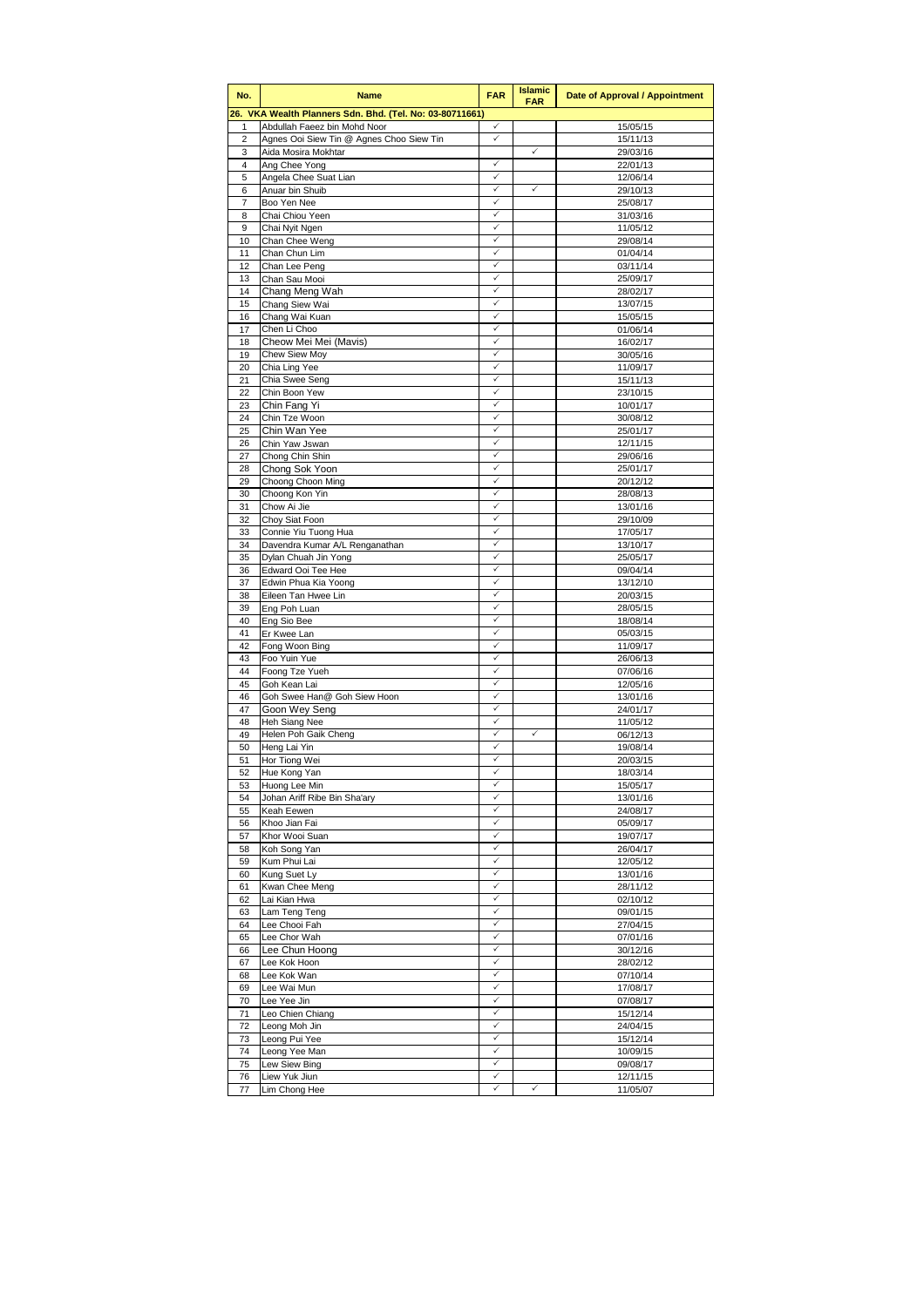| No.            | <b>Name</b>                                                     | <b>FAR</b>        | <b>Islamic</b><br><b>FAR</b> | <b>Date of Approval / Appointment</b> |
|----------------|-----------------------------------------------------------------|-------------------|------------------------------|---------------------------------------|
|                | 26. VKA Wealth Planners Sdn. Bhd. (Tel. No: 03-80711661)        |                   |                              |                                       |
| 1              | Abdullah Faeez bin Mohd Noor                                    | ✓                 |                              | 15/05/15                              |
| 2<br>3         | Agnes Ooi Siew Tin @ Agnes Choo Siew Tin<br>Aida Mosira Mokhtar | ✓                 | $\checkmark$                 | 15/11/13<br>29/03/16                  |
| 4              | Ang Chee Yong                                                   | ✓                 |                              | 22/01/13                              |
| 5              | Angela Chee Suat Lian                                           | ✓                 |                              | 12/06/14                              |
| 6              | Anuar bin Shuib                                                 | ✓                 | ✓                            | 29/10/13                              |
| $\overline{7}$ | Boo Yen Nee                                                     | $\checkmark$      |                              | 25/08/17                              |
| 8<br>9         | Chai Chiou Yeen<br>Chai Nyit Ngen                               | ✓<br>✓            |                              | 31/03/16<br>11/05/12                  |
| 10             | Chan Chee Weng                                                  | ✓                 |                              | 29/08/14                              |
| 11             | Chan Chun Lim                                                   | ✓                 |                              | 01/04/14                              |
| 12             | Chan Lee Peng                                                   | ✓                 |                              | 03/11/14                              |
| 13             | Chan Sau Mooi                                                   | ✓                 |                              | 25/09/17                              |
| 14<br>15       | Chang Meng Wah                                                  | $\checkmark$<br>✓ |                              | 28/02/17<br>13/07/15                  |
| 16             | Chang Siew Wai<br>Chang Wai Kuan                                |                   |                              | 15/05/15                              |
| 17             | Chen Li Choo                                                    | ✓                 |                              | 01/06/14                              |
| 18             | Cheow Mei Mei (Mavis)                                           | $\checkmark$      |                              | 16/02/17                              |
| 19             | Chew Siew Moy                                                   | ✓                 |                              | 30/05/16                              |
| 20             | Chia Ling Yee                                                   | ✓<br>✓            |                              | 11/09/17                              |
| 21<br>22       | Chia Swee Seng<br>Chin Boon Yew                                 | ✓                 |                              | 15/11/13<br>23/10/15                  |
| 23             | Chin Fang Yi                                                    | ✓                 |                              | 10/01/17                              |
| 24             | Chin Tze Woon                                                   | ✓                 |                              | 30/08/12                              |
| 25             | Chin Wan Yee                                                    | ✓                 |                              | 25/01/17                              |
| 26             | Chin Yaw Jswan                                                  | ✓                 |                              | 12/11/15                              |
| 27<br>28       | Chong Chin Shin                                                 | ✓<br>$\checkmark$ |                              | 29/06/16<br>25/01/17                  |
| 29             | Chong Sok Yoon<br>Choong Choon Ming                             | $\checkmark$      |                              | 20/12/12                              |
| 30             | Choong Kon Yin                                                  |                   |                              | 28/08/13                              |
| 31             | Chow Ai Jie                                                     | ✓                 |                              | 13/01/16                              |
| 32             | Choy Siat Foon                                                  | $\checkmark$      |                              | 29/10/09                              |
| 33             | Connie Yiu Tuong Hua                                            | ✓<br>✓            |                              | 17/05/17                              |
| 34<br>35       | Davendra Kumar A/L Renganathan<br>Dylan Chuah Jin Yong          | ✓                 |                              | 13/10/17<br>25/05/17                  |
| 36             | Edward Ooi Tee Hee                                              | ✓                 |                              | 09/04/14                              |
| 37             | Edwin Phua Kia Yoong                                            | $\checkmark$      |                              | 13/12/10                              |
| 38             | Eileen Tan Hwee Lin                                             | ✓                 |                              | 20/03/15                              |
| 39             | Eng Poh Luan                                                    | $\checkmark$      |                              | 28/05/15                              |
| 40<br>41       | Eng Sio Bee<br>Er Kwee Lan                                      | ✓                 |                              | 18/08/14<br>05/03/15                  |
| 42             | Fong Woon Bing                                                  | ✓                 |                              | 11/09/17                              |
| 43             | Foo Yuin Yue                                                    | $\checkmark$      |                              | 26/06/13                              |
| 44             | Foong Tze Yueh                                                  | ✓                 |                              | 07/06/16                              |
| 45             | Goh Kean Lai                                                    | ✓                 |                              | 12/05/16                              |
| 46<br>47       | Goh Swee Han@ Goh Siew Hoon<br>Goon Wey Seng                    | $\checkmark$<br>✓ |                              | 13/01/16<br>24/01/17                  |
| 48             | Heh Siang Nee                                                   | ✓                 |                              | 11/05/12                              |
| 49             | Helen Poh Gaik Cheng                                            | ✓                 | $\checkmark$                 | 06/12/13                              |
| 50             | Heng Lai Yin                                                    | $\checkmark$      |                              | 19/08/14                              |
| 51             | Hor Tiong Wei                                                   | $\checkmark$      |                              | 20/03/15                              |
| 52             | Hue Kong Yan                                                    | ✓<br>$\checkmark$ |                              | 18/03/14                              |
| 53<br>54       | Huong Lee Min<br>Johan Ariff Ribe Bin Sha'ary                   | $\checkmark$      |                              | 15/05/17<br>13/01/16                  |
| 55             | Keah Eewen                                                      | ✓                 |                              | 24/08/17                              |
| 56             | Khoo Jian Fai                                                   | ✓                 |                              | 05/09/17                              |
| 57             | Khor Wooi Suan                                                  | $\checkmark$      |                              | 19/07/17                              |
| 58             | Koh Song Yan                                                    | ✓<br>✓            |                              | 26/04/17                              |
| 59<br>60       | Kum Phui Lai<br>Kung Suet Ly                                    | $\checkmark$      |                              | 12/05/12<br>13/01/16                  |
| 61             | Kwan Chee Meng                                                  | ✓                 |                              | 28/11/12                              |
| 62             | Lai Kian Hwa                                                    | $\checkmark$      |                              | 02/10/12                              |
| 63             | Lam Teng Teng                                                   | ✓                 |                              | 09/01/15                              |
| 64             | Lee Chooi Fah                                                   | $\checkmark$      |                              | 27/04/15                              |
| 65             | Lee Chor Wah<br>Lee Chun Hoong                                  | $\checkmark$<br>✓ |                              | 07/01/16                              |
| 66<br>67       | Lee Kok Hoon                                                    | ✓                 |                              | 30/12/16<br>28/02/12                  |
| 68             | Lee Kok Wan                                                     | $\checkmark$      |                              | 07/10/14                              |
| 69             | Lee Wai Mun                                                     | ✓                 |                              | 17/08/17                              |
| 70             | Lee Yee Jin                                                     | ✓                 |                              | 07/08/17                              |
| 71             | Leo Chien Chiang                                                | $\checkmark$      |                              | 15/12/14                              |
| 72<br>73       | Leong Moh Jin<br>Leong Pui Yee                                  | ✓<br>✓            |                              | 24/04/15<br>15/12/14                  |
| 74             | Leong Yee Man                                                   | ✓                 |                              | 10/09/15                              |
| 75             | Lew Siew Bing                                                   | $\checkmark$      |                              | 09/08/17                              |
| 76             | Liew Yuk Jiun                                                   | $\checkmark$      |                              | 12/11/15                              |
| 77             | Lim Chong Hee                                                   | ✓                 | ✓                            | 11/05/07                              |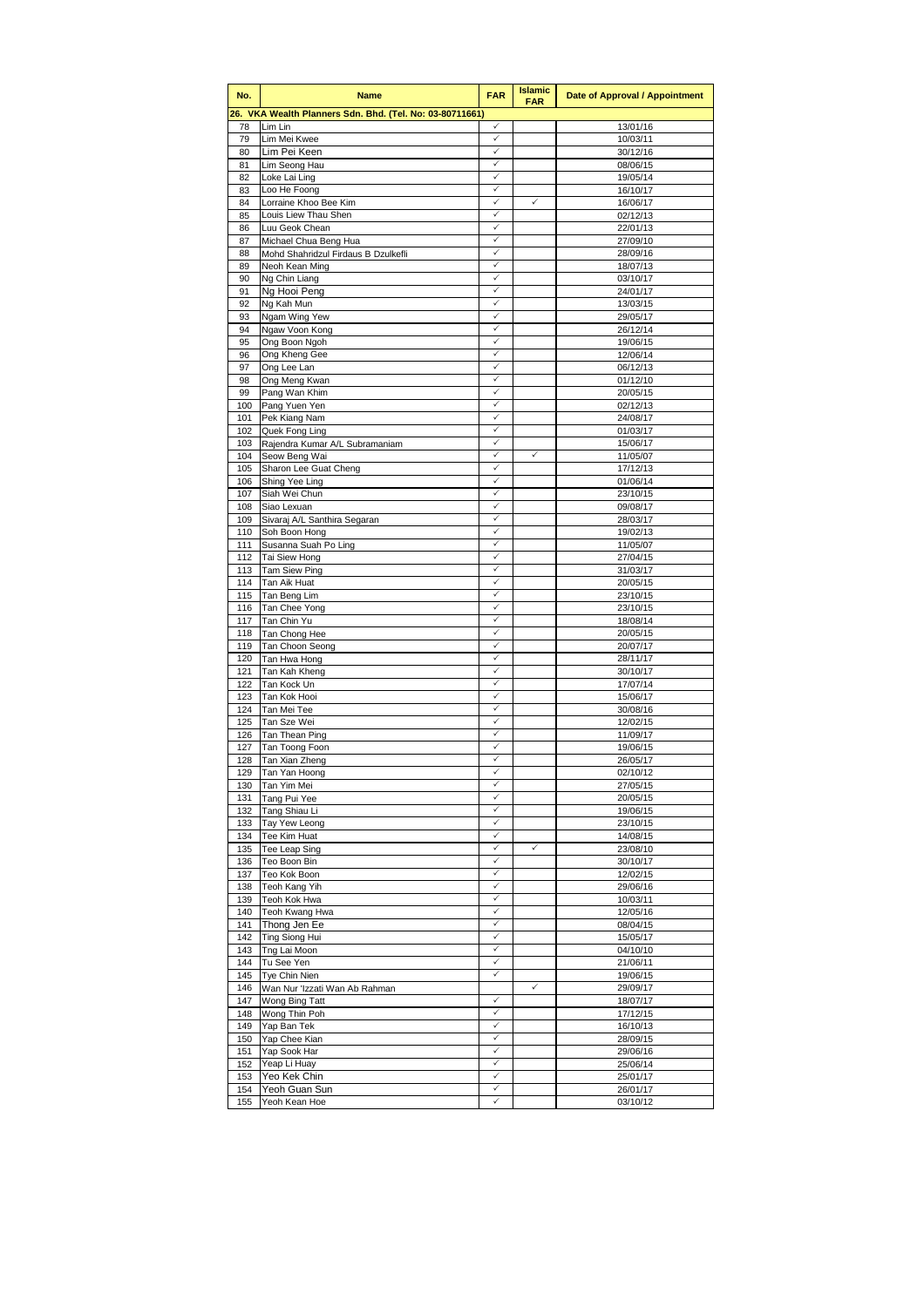| No.        | <b>Name</b>                                              | <b>FAR</b>        | <b>Islamic</b><br><b>FAR</b> | Date of Approval / Appointment |
|------------|----------------------------------------------------------|-------------------|------------------------------|--------------------------------|
|            | 26. VKA Wealth Planners Sdn. Bhd. (Tel. No: 03-80711661) |                   |                              |                                |
| 78         | Lim Lin                                                  | ✓                 |                              | 13/01/16                       |
| 79<br>80   | Lim Mei Kwee                                             | ✓<br>✓            |                              | 10/03/11                       |
| 81         | Lim Pei Keen<br>Lim Seong Hau                            | ✓                 |                              | 30/12/16<br>08/06/15           |
| 82         | Loke Lai Ling                                            | ✓                 |                              | 19/05/14                       |
| 83         | Loo He Foong                                             | ✓                 |                              | 16/10/17                       |
| 84         | Lorraine Khoo Bee Kim                                    | ✓                 | $\checkmark$                 | 16/06/17                       |
| 85         | Louis Liew Thau Shen                                     | ✓<br>✓            |                              | 02/12/13                       |
| 86<br>87   | Luu Geok Chean<br>Michael Chua Beng Hua                  | ✓                 |                              | 22/01/13<br>27/09/10           |
| 88         | Mohd Shahridzul Firdaus B Dzulkefli                      | ✓                 |                              | 28/09/16                       |
| 89         | Neoh Kean Ming                                           | ✓                 |                              | 18/07/13                       |
| 90         | Ng Chin Liang                                            | ✓                 |                              | 03/10/17                       |
| 91         | Ng Hooi Peng                                             | ✓<br>✓            |                              | 24/01/17                       |
| 92<br>93   | Ng Kah Mun<br>Ngam Wing Yew                              |                   |                              | 13/03/15<br>29/05/17           |
| 94         | Ngaw Voon Kong                                           | ✓                 |                              | 26/12/14                       |
| 95         | Ong Boon Ngoh                                            | ✓                 |                              | 19/06/15                       |
| 96         | Ong Kheng Gee                                            | ✓                 |                              | 12/06/14                       |
| 97         | Ong Lee Lan                                              | ✓                 |                              | 06/12/13                       |
| 98<br>99   | Ong Meng Kwan<br>Pang Wan Khim                           | ✓<br>✓            |                              | 01/12/10<br>20/05/15           |
| 100        | Pang Yuen Yen                                            | ✓                 |                              | $\overline{02}/12/13$          |
| 101        | Pek Kiang Nam                                            | ✓                 |                              | 24/08/17                       |
| 102        | Quek Fong Ling                                           | ✓                 |                              | 01/03/17                       |
| 103        | Rajendra Kumar A/L Subramaniam                           | ✓                 |                              | 15/06/17                       |
| 104        | Seow Beng Wai<br>Sharon Lee Guat Cheng                   | ✓<br>✓            | ✓                            | 11/05/07                       |
| 105<br>106 | Shing Yee Ling                                           | $\checkmark$      |                              | 17/12/13<br>01/06/14           |
| 107        | Siah Wei Chun                                            |                   |                              | 23/10/15                       |
| 108        | Siao Lexuan                                              | ✓                 |                              | 09/08/17                       |
| 109        | Sivaraj A/L Santhira Segaran                             | ✓                 |                              | 28/03/17                       |
| 110        | Soh Boon Hong                                            | ✓<br>✓            |                              | 19/02/13                       |
| 111<br>112 | Susanna Suah Po Ling<br>Tai Siew Hong                    | ✓                 |                              | 11/05/07<br>27/04/15           |
| 113        | Tam Siew Ping                                            | ✓                 |                              | 31/03/17                       |
| 114        | Tan Aik Huat                                             | ✓                 |                              | 20/05/15                       |
| 115        | Tan Beng Lim                                             | ✓                 |                              | 23/10/15                       |
| 116        | Tan Chee Yong                                            | ✓                 |                              | 23/10/15                       |
| 117<br>118 | Tan Chin Yu<br>Tan Chong Hee                             | ✓                 |                              | 18/08/14<br>20/05/15           |
| 119        | Tan Choon Seong                                          | ✓                 |                              | 20/07/17                       |
| 120        | Tan Hwa Hong                                             | ✓                 |                              | 28/11/17                       |
| 121        | Tan Kah Kheng                                            | ✓                 |                              | 30/10/17                       |
| 122        | Tan Kock Un                                              | ✓                 |                              | 17/07/14                       |
| 123<br>124 | Tan Kok Hooi<br>Tan Mei Tee                              | ✓<br>✓            |                              | 15/06/17<br>30/08/16           |
| 125        | Tan Sze Wei                                              | ✓                 |                              | 12/02/15                       |
| 126        | Tan Thean Ping                                           | ✓                 |                              | 11/09/17                       |
| 127        | Tan Toong Foon                                           | ✓                 |                              | 19/06/15                       |
| 128        | Tan Xian Zheng                                           | ✓                 |                              | 26/05/17                       |
| 129        | Tan Yan Hoong                                            | ✓<br>✓            |                              | 02/10/12                       |
| 130<br>131 | Tan Yim Mei<br>Tang Pui Yee                              | ✓                 |                              | 27/05/15<br>20/05/15           |
| 132        | Tang Shiau Li                                            | ✓                 |                              | 19/06/15                       |
| 133        | Tay Yew Leong                                            | ✓                 |                              | 23/10/15                       |
| 134        | Tee Kim Huat                                             | $\checkmark$      |                              | 14/08/15                       |
| 135        | Tee Leap Sing                                            | ✓<br>✓            | ✓                            | 23/08/10                       |
| 136<br>137 | Teo Boon Bin<br>Teo Kok Boon                             | ✓                 |                              | 30/10/17<br>12/02/15           |
| 138        | Teoh Kang Yih                                            | ✓                 |                              | 29/06/16                       |
| 139        | Teoh Kok Hwa                                             | ✓                 |                              | 10/03/11                       |
| 140        | Teoh Kwang Hwa                                           | ✓                 |                              | 12/05/16                       |
| 141        | Thong Jen Ee                                             | ✓                 |                              | 08/04/15                       |
| 142<br>143 | Ting Siong Hui<br>Tng Lai Moon                           | ✓<br>✓            |                              | 15/05/17<br>04/10/10           |
| 144        | Tu See Yen                                               | ✓                 |                              | 21/06/11                       |
| 145        | Tye Chin Nien                                            | $\checkmark$      |                              | 19/06/15                       |
| 146        | Wan Nur 'Izzati Wan Ab Rahman                            |                   | ✓                            | 29/09/17                       |
| 147        | Wong Bing Tatt                                           | ✓                 |                              | 18/07/17                       |
| 148        | Wong Thin Poh                                            | ✓<br>$\checkmark$ |                              | 17/12/15                       |
| 149<br>150 | Yap Ban Tek<br>Yap Chee Kian                             | ✓                 |                              | 16/10/13<br>28/09/15           |
| 151        | Yap Sook Har                                             | ✓                 |                              | 29/06/16                       |
| 152        | Yeap Li Huay                                             | ✓                 |                              | 25/06/14                       |
| 153        | Yeo Kek Chin                                             | ✓                 |                              | 25/01/17                       |
| 154        | Yeoh Guan Sun                                            | ✓                 |                              | 26/01/17                       |
| 155        | Yeoh Kean Hoe                                            | ✓                 |                              | 03/10/12                       |